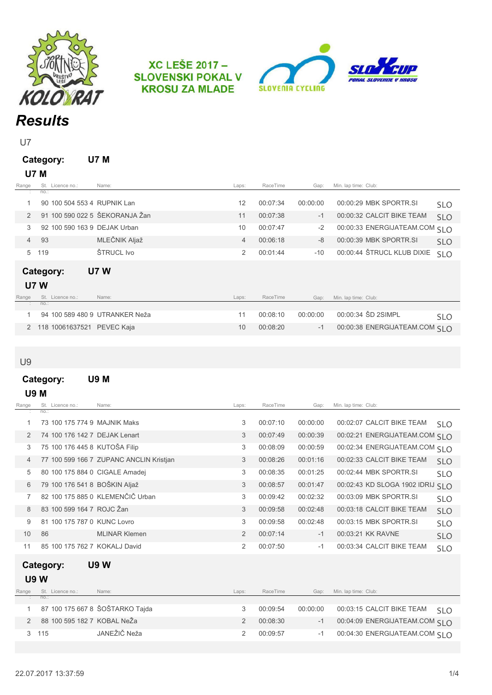

**XC LEŠE 2017 -SLOVENSKI POKAL V KROSU ZA MLADE** 



U7

| Category: | U7 M |
|-----------|------|
| U7 M      |      |

| Range          |      | St. Licence no.:            | Name:                          | Laps:          | RaceTime | Gap:     | Min. lap time: Club:           |            |
|----------------|------|-----------------------------|--------------------------------|----------------|----------|----------|--------------------------------|------------|
|                | no.: |                             |                                |                |          |          |                                |            |
|                |      | 90 100 504 553 4 RUPNIK Lan |                                | 12             | 00:07:34 | 00:00:00 | 00:00:29 MBK SPORTR.SI         | <b>SLO</b> |
| $\mathcal{P}$  |      |                             | 91 100 590 022 5 ŠEKORANJA Žan | 11             | 00:07:38 | $-1$     | 00:00:32 CALCIT BIKE TEAM      | <b>SLO</b> |
| 3              |      |                             | 92 100 590 163 9 DEJAK Urban   | 10             | 00:07:47 | $-2$     | 00:00:33 ENERGIJATEAM.COM SLO  |            |
| $\overline{4}$ | 93   |                             | MLEČNIK Aljaž                  | $\overline{4}$ | 00:06:18 | $-8$     | 00:00:39 MBK SPORTR.SI         | <b>SLO</b> |
| 5              | 119  |                             | ŠTRUCL Ivo                     | 2              | 00:01:44 | $-10$    | 00:00:44 ŠTRUCL KLUB DIXIE     | <b>SLO</b> |
| Category:      |      |                             | <b>U7 W</b>                    |                |          |          |                                |            |
| <b>U7 W</b>    |      |                             |                                |                |          |          |                                |            |
| Range          |      | St. Licence no.:            | Name:                          | Laps:          | RaceTime | Gap:     | Min. lap time: Club:           |            |
|                | no.: |                             |                                |                |          |          |                                |            |
|                |      |                             | 94 100 589 480 9 UTRANKER Neža | 11             | 00:08:10 | 00:00:00 | 00:00:34 ŠD 2SIMPL             | <b>SLO</b> |
| 2              |      | 118 10061637521 PEVEC Kaja  |                                | 10             | 00:08:20 | $-1$     | 00:00:38 ENERGIJATEAM.COM SI O |            |

U9

### Category: U9 M U9 M

| Range | St. Licence no.:               | Name:                                   | Laps: | RaceTime | Gap:     | Min. lap time: Club: |                                  |            |
|-------|--------------------------------|-----------------------------------------|-------|----------|----------|----------------------|----------------------------------|------------|
|       | no.:                           |                                         |       |          |          |                      |                                  |            |
|       | 73 100 175 774 9 MAJNIK Maks   |                                         | 3     | 00:07:10 | 00:00:00 |                      | 00:02:07 CALCIT BIKE TEAM        | <b>SLO</b> |
| 2     | 74 100 176 142 7 DEJAK Lenart  |                                         | 3     | 00:07:49 | 00:00:39 |                      | 00:02:21 ENERGIJATEAM.COM SI O   |            |
| 3     | 75 100 176 445 8 KUTOŠA Filip  |                                         | 3     | 00:08:09 | 00:00:59 |                      | 00:02:34 ENERGIJATEAM.COM SI O   |            |
| 4     |                                | 77 100 599 166 7 ZUPANC ANCLIN Kristjan | 3     | 00:08:26 | 00:01:16 |                      | 00:02:33 CALCIT BIKE TEAM        | <b>SLO</b> |
| 5     | 80 100 175 884 0 CIGALE Amadej |                                         | 3     | 00:08:35 | 00:01:25 |                      | 00:02:44 MBK SPORTR.SI           | <b>SLO</b> |
| 6     | 79 100 176 541 8 BOŠKIN Aljaž  |                                         | 3     | 00:08:57 | 00:01:47 |                      | 00:02:43 KD SLOGA 1902 IDRIJ SLO |            |
|       |                                | 82 100 175 885 0 KLEMENČIČ Urban        | 3     | 00:09:42 | 00:02:32 |                      | 00:03:09 MBK SPORTR.SI           | <b>SLO</b> |
| 8     | 83 100 599 164 7 ROJC Žan      |                                         | 3     | 00:09:58 | 00:02:48 |                      | 00:03:18 CALCIT BIKE TEAM        | <b>SLO</b> |
| 9     | 81 100 175 787 0 KUNC Lovro    |                                         | 3     | 00:09:58 | 00:02:48 |                      | 00:03:15 MBK SPORTR.SI           | <b>SLO</b> |
| 10    | 86                             | <b>MLINAR Klemen</b>                    | 2     | 00:07:14 | $-1$     |                      | 00:03:21 KK RAVNE                | <b>SLO</b> |
| 11    | 85 100 175 762 7 KOKALJ David  |                                         | 2     | 00:07:50 | $-1$     |                      | 00:03:34 CALCIT BIKE TEAM        | <b>SLO</b> |
|       | Cotogonu                       | $\overline{110}$ $\overline{M}$         |       |          |          |                      |                                  |            |

ategory: U9 W

| Range | St. Licence no.:            | Name:                           | Laps: | RaceTime | Gap:     | Min. lap time: Club:           |                  |
|-------|-----------------------------|---------------------------------|-------|----------|----------|--------------------------------|------------------|
|       | $\therefore$ no.:           |                                 |       |          |          |                                |                  |
|       |                             | 87 100 175 667 8 ŠOŠTARKO Tajda |       | 00:09:54 | 00:00:00 | 00:03:15 CALCIT BIKE TEAM      | $\sim$ 51 $\sim$ |
|       | 88 100 595 182 7 KOBAL NeŽa |                                 |       | 00:08:30 | $-1$     | 00:04:09 ENERGIJATEAM.COM SI O |                  |
|       | 3 115                       | JANEŽIČ Neža                    |       | 00:09:57 | $-1$     | 00:04:30 ENERGIJATEAM.COM SI O |                  |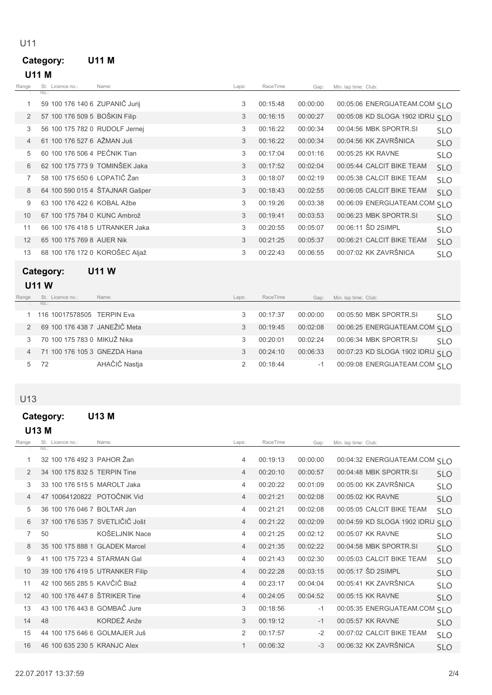# Category: U11 M

U11

| Range          | St. Licence no.:               | Name:                           | Laps: | RaceTime | Gap:     | Min. lap time: Club:              |            |
|----------------|--------------------------------|---------------------------------|-------|----------|----------|-----------------------------------|------------|
|                | no:                            |                                 |       |          |          |                                   |            |
| 1              | 59 100 176 140 6 ZUPANIČ Jurij |                                 | 3     | 00:15:48 | 00:00:00 | 00:05:06 ENERGIJATEAM.COM SI O    |            |
| 2              | 57 100 176 509 5 BOŠKIN Filip  |                                 | 3     | 00:16:15 | 00:00:27 | 00:05:08 KD SLOGA 1902 IDRIJ SI O |            |
| 3              | 56 100 175 782 0 RUDOLF Jernej |                                 | 3     | 00:16:22 | 00:00:34 | 00:04:56 MBK SPORTR.SI            | <b>SLO</b> |
| $\overline{4}$ | 61 100 176 527 6 AŽMAN Juš     |                                 | 3     | 00:16:22 | 00:00:34 | 00:04:56 KK ZAVRŠNICA             | <b>SLO</b> |
| 5              | 60 100 176 506 4 PEČNIK Tian   |                                 | 3     | 00:17:04 | 00:01:16 | 00:05:25 KK RAVNE                 | <b>SLO</b> |
| 6              | 62 100 175 773 9 TOMINŠEK Jaka |                                 | 3     | 00:17:52 | 00:02:04 | 00:05:44 CALCIT BIKE TEAM         | <b>SLO</b> |
| 7              | 58 100 175 650 6 LOPATIČ Žan   |                                 | 3     | 00:18:07 | 00:02:19 | 00:05:38 CALCIT BIKE TEAM         | <b>SLO</b> |
| 8              |                                | 64 100 590 015 4 ŠTAJNAR Gašper | 3     | 00:18:43 | 00:02:55 | 00:06:05 CALCIT BIKE TEAM         | <b>SLO</b> |
| 9              | 63 100 176 422 6 KOBAL Ažbe    |                                 | 3     | 00:19:26 | 00:03:38 | 00:06:09 ENERGIJATEAM.COM SLO     |            |
| 10             | 67 100 175 784 0 KUNC Ambrož   |                                 | 3     | 00:19:41 | 00:03:53 | 00:06:23 MBK SPORTR.SI            | <b>SLO</b> |
| 11             |                                | 66 100 176 418 5 UTRANKER Jaka  | 3     | 00:20:55 | 00:05:07 | 00:06:11 SD 2SIMPL                | <b>SLO</b> |
| 12             | 65 100 175 769 8 AUER Nik      |                                 | 3     | 00:21:25 | 00:05:37 | 00:06:21 CALCIT BIKE TEAM         | <b>SLO</b> |
| 13             | 68 100 176 172 0 KOROŠEC Aljaž |                                 | 3     | 00:22:43 | 00:06:55 | 00:07:02 KK ZAVRŠNICA             | <b>SLO</b> |
|                |                                |                                 |       |          |          |                                   |            |

## Category: U11 W

### U11 W

| Range |                   | St. Licence no.:            | Name:                         | Laps: | RaceTime | Gap:     | Min. lap time: Club:              |            |
|-------|-------------------|-----------------------------|-------------------------------|-------|----------|----------|-----------------------------------|------------|
|       | $\therefore$ no.: |                             |                               |       |          |          |                                   |            |
|       |                   | 116 10017578505 TERPIN Eva  |                               |       | 00:17:37 | 00:00:00 | 00:05:50 MBK SPORTR.SI            | <b>SLO</b> |
|       |                   |                             | 69 100 176 438 7 JANEŽIČ Meta |       | 00:19:45 | 00:02:08 | 00:06:25 ENERGIJATEAM.COM SI O    |            |
|       |                   | 70 100 175 783 0 MIKUŽ Nika |                               |       | 00:20:01 | 00:02:24 | 00:06:34 MBK SPORTR.SI            | <b>SLO</b> |
|       |                   |                             | 71 100 176 105 3 GNEZDA Hana  |       | 00:24:10 | 00:06:33 | 00:07:23 KD SLOGA 1902 IDRIJ SI O |            |
|       | 72                |                             | AHAČIČ Nastja                 |       | 00:18:44 | $-1$     | 00:09:08 ENERGIJATEAM.COM SI O    |            |

### U13

## Category: U13 M

### U13 M

| Range | St. Licence no.:                | Name:          | Laps:          | RaceTime | Gap:     | Min. lap time: Club:          |            |
|-------|---------------------------------|----------------|----------------|----------|----------|-------------------------------|------------|
|       | $no.$ :                         |                |                |          |          |                               |            |
|       | 32 100 176 492 3 PAHOR Žan      |                | $\overline{4}$ | 00:19:13 | 00:00:00 | 00:04:32 ENERGIJATEAM.COM SLO |            |
| 2     | 34 100 175 832 5 TERPIN Tine    |                | $\overline{4}$ | 00:20:10 | 00:00:57 | 00:04:48 MBK SPORTR.SI        | <b>SLO</b> |
| 3     | 33 100 176 515 5 MAROLT Jaka    |                | 4              | 00:20:22 | 00:01:09 | 00:05:00 KK ZAVRŠNICA         | <b>SLO</b> |
| 4     | 47 10064120822 POTOČNIK Vid     |                | $\overline{4}$ | 00:21:21 | 00:02:08 | 00:05:02 KK RAVNE             | <b>SLO</b> |
| 5     | 36 100 176 046 7 BOLTAR Jan     |                | $\overline{4}$ | 00:21:21 | 00:02:08 | 00:05:05 CALCIT BIKE TEAM     | <b>SLO</b> |
| 6     | 37 100 176 535 7 SVETLIČIČ Jošt |                | $\overline{4}$ | 00:21:22 | 00:02:09 | 00:04:59 KD SLOGA 1902 IDRIJ  | <b>SLO</b> |
| 7     | 50                              | KOŠELJNIK Nace | 4              | 00:21:25 | 00:02:12 | 00:05:07 KK RAVNE             | <b>SLO</b> |
| 8     | 35 100 175 888 1 GLADEK Marcel  |                | $\overline{4}$ | 00:21:35 | 00:02:22 | 00:04:58 MBK SPORTR.SI        | <b>SLO</b> |
| 9     | 41 100 175 723 4 STARMAN Gal    |                | 4              | 00:21:43 | 00:02:30 | 00:05:03 CALCIT BIKE TEAM     | <b>SLO</b> |
| 10    | 39 100 176 419 5 UTRANKER Filip |                | $\overline{4}$ | 00:22:28 | 00:03:15 | 00:05:17 SD 2SIMPL            | <b>SLO</b> |
| 11    | 42 100 565 285 5 KAVČIČ Blaž    |                | 4              | 00:23:17 | 00:04:04 | 00:05:41 KK ZAVRŠNICA         | <b>SLO</b> |
| 12    | 40 100 176 447 8 ŠTRIKER Tine   |                | $\overline{4}$ | 00:24:05 | 00:04:52 | 00:05:15 KK RAVNE             | <b>SLO</b> |
| 13    | 43 100 176 443 8 GOMBAČ Jure    |                | 3              | 00:18:56 | $-1$     | 00:05:35 ENERGIJATEAM.COM     | <b>SLO</b> |
| 14    | 48                              | KORDEŽ Anže    | 3              | 00:19:12 | $-1$     | 00:05:57 KK RAVNE             | <b>SLO</b> |
| 15    | 44 100 175 646 6 GOLMAJER Juš   |                | 2              | 00:17:57 | $-2$     | 00:07:02 CALCIT BIKE TEAM     | <b>SLO</b> |
| 16    | 46 100 635 230 5 KRANJC Alex    |                | 1              | 00:06:32 | $-3$     | 00:06:32 KK ZAVRŠNICA         | <b>SLO</b> |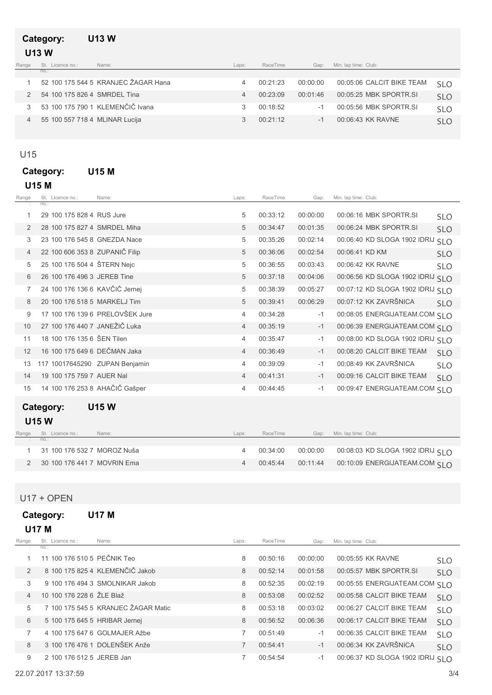### Category: U13 W U13 W

| Range      | St. Licence no.:               | Name:                               | Laps: | RaceTime | Gap:     | Min. lap time: Club:      |            |
|------------|--------------------------------|-------------------------------------|-------|----------|----------|---------------------------|------------|
| <b>COL</b> | no.:                           |                                     |       |          |          |                           |            |
|            |                                | 52 100 175 544 5 KRANJEC ŽAGAR Hana |       | 00:21:23 | 00:00:00 | 00:05:06 CALCIT BIKE TEAM | <b>SLO</b> |
|            | 54 100 175 826 4 SMRDEL Tina   |                                     |       | 00.23.09 | 00:01:46 | 00:05:25 MBK SPORTR.SI    | <b>SLO</b> |
|            |                                | 53 100 175 790 1 KLEMENČIČ Ivana    |       | 00:18:52 |          | 00:05:56 MBK SPORTR SI    | <b>SLO</b> |
|            | 55 100 557 718 4 MLINAR Lucija |                                     |       | 00:21:12 |          | 00:06:43 KK RAVNE         | <b>SLO</b> |

### U15

### Category: U15 M U15 M

| Range          | St. Licence no.:               | Name:                           | Laps:          | RaceTime | Gap:     | Min. lap time: Club:             |            |
|----------------|--------------------------------|---------------------------------|----------------|----------|----------|----------------------------------|------------|
|                | no.                            |                                 |                |          |          |                                  |            |
| 1              | 29 100 175 828 4 RUS Jure      |                                 | 5              | 00:33:12 | 00:00:00 | 00:06:16 MBK SPORTR.SI           | <b>SLO</b> |
| 2              | 28 100 175 827 4 SMRDEL Miha   |                                 | 5              | 00:34:47 | 00:01:35 | 00:06:24 MBK SPORTR.SI           | <b>SLO</b> |
| 3              | 23 100 176 545 8 GNEZDA Nace   |                                 | 5              | 00:35:26 | 00:02:14 | 00:06:40 KD SLOGA 1902 IDRIJ     | <b>SLO</b> |
| $\overline{4}$ | 22 100 606 353 8 ZUPANIČ Filip |                                 | 5              | 00:36:06 | 00:02:54 | 00:06:41 KD KM                   | <b>SLO</b> |
| 5              | 25 100 176 504 4 ŠTERN Nejc    |                                 | 5              | 00:36:55 | 00:03:43 | 00:06:42 KK RAVNE                | <b>SLO</b> |
| 6              | 26 100 176 496 3 JEREB Tine    |                                 | 5              | 00:37:18 | 00:04:06 | 00:06:56 KD SLOGA 1902 IDRIJ SLO |            |
| 7              | 24 100 176 136 6 KAVČIČ Jernej |                                 | 5              | 00:38:39 | 00:05:27 | 00:07:12 KD SLOGA 1902 IDRIJ SLO |            |
| 8              | 20 100 176 518 5 MARKELJ Tim   |                                 | 5              | 00:39:41 | 00:06:29 | 00:07:12 KK ZAVRŠNICA            | <b>SLO</b> |
| 9              |                                | 17 100 176 139 6 PRELOVŠEK Jure | $\overline{4}$ | 00:34:28 | $-1$     | 00:08:05 ENERGIJATEAM.COM SLO    |            |
| 10             | 27 100 176 440 7 JANEŽIČ Luka  |                                 | $\overline{4}$ | 00:35:19 | $-1$     | 00:06:39 ENERGIJATEAM.COM SLO    |            |
| 11             | 18 100 176 135 6 ŠEN Tilen     |                                 | 4              | 00:35:47 | $-1$     | 00:08:00 KD SLOGA 1902 IDRIJ SLO |            |
| 12             | 16 100 175 649 6 DEČMAN Jaka   |                                 | 4              | 00:36:49 | $-1$     | 00:08:20 CALCIT BIKE TEAM        | <b>SLO</b> |
| 13             | 117 10017645290 ZUPAN Benjamin |                                 | 4              | 00:39:09 | $-1$     | 00:08:49 KK ZAVRŠNICA            | <b>SLO</b> |
| 14             | 19 100 175 759 7 AUER Nal      |                                 | $\overline{4}$ | 00:41:31 | $-1$     | 00:09:16 CALCIT BIKE TEAM        | <b>SLO</b> |
| 15             | 14 100 176 253 8 AHAČIČ Gašper |                                 | $\overline{4}$ | 00:44:45 | $-1$     | 00:09:47 ENERGIJATEAM.COM SLO    |            |
|                | Category:                      | <b>U15W</b>                     |                |          |          |                                  |            |
|                |                                |                                 |                |          |          |                                  |            |
|                | <b>U15W</b>                    |                                 |                |          |          |                                  |            |
| Range          | St. Licence no.:<br>$no.$ :    | Name:                           | Laps:          | RaceTime | Gap:     | Min. lap time: Club:             |            |
|                |                                |                                 |                |          |          |                                  |            |
| 1.             | 31 100 176 532 7 MOROZ Nuša    |                                 | 4              | 00:34:00 | 00:00:00 | 00:08:03 KD SLOGA 1902 IDRIJ SLO |            |

U17 + OPEN

Category: U17 M

| U17 M          |                               |                                     |       |          |          |                                   |            |
|----------------|-------------------------------|-------------------------------------|-------|----------|----------|-----------------------------------|------------|
| Range          | St. Licence no.:              | Name:                               | Laps: | RaceTime | Gap:     | Min. lap time: Club:              |            |
|                | $no.$ :                       |                                     |       |          |          |                                   |            |
|                | 11 100 176 510 5 PEČNIK Teo   |                                     | 8     | 00:50:16 | 00:00:00 | 00:05:55 KK RAVNE                 | <b>SLO</b> |
| $\mathcal{P}$  |                               | 8 100 175 825 4 KLEMENČIČ Jakob     | 8     | 00:52:14 | 00:01:58 | 00:05:57 MBK SPORTR.SI            | <b>SLO</b> |
| 3              |                               | 9 100 176 494 3 SMOLNIKAR Jakob     | 8     | 00:52:35 | 00:02:19 | 00:05:55 ENERGIJATEAM.COM SLO     |            |
| $\overline{4}$ | 10 100 176 228 6 ŽLE Blaž     |                                     | 8     | 00:53:08 | 00:02:52 | 00:05:58 CALCIT BIKE TEAM         | <b>SLO</b> |
| 5              |                               | 7 100 175 545 5 KRANJEC ŽAGAR Matic | 8     | 00:53:18 | 00:03:02 | 00:06:27 CALCIT BIKE TEAM         | <b>SLO</b> |
| 6              | 5 100 175 645 5 HRIBAR Jernej |                                     | 8     | 00:56:52 | 00:06:36 | 00:06:17 CALCIT BIKE TEAM         | <b>SLO</b> |
| 7              |                               | 4 100 175 647 6 GOLMAJER Ažbe       | 7     | 00:51:49 | $-1$     | 00:06:35 CALCIT BIKE TEAM         | <b>SLO</b> |
| 8              |                               | 3 100 176 476 1 DOLENŠEK Anže       | 7     | 00:54:41 | $-1$     | 00:06:34 KK ZAVRŠNICA             | <b>SLO</b> |
| 9              | 2 100 176 512 5 JEREB Jan     |                                     | 7     | 00:54:54 | $-1$     | 00:06:37 KD SLOGA 1902 IDRIJ SI O |            |

2 MOVRIN Ema 30 100 176 441 7 4 00:45:44 00:10:09 00:11:44 ENERGIJATEAM.COM SLO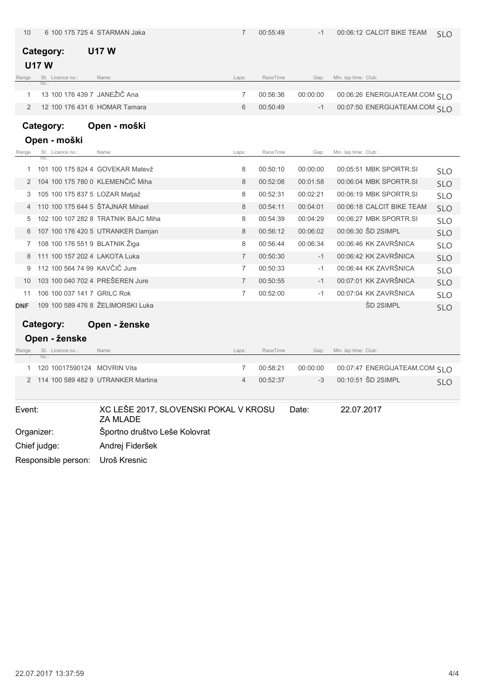| 10         |                                  | 6 100 175 725 4 STARMAN Jaka                             | 7              | 00:55:49 | $-1$     | 00:06:12 CALCIT BIKE TEAM      | <b>SLO</b> |
|------------|----------------------------------|----------------------------------------------------------|----------------|----------|----------|--------------------------------|------------|
|            | Category:                        | <b>U17 W</b>                                             |                |          |          |                                |            |
|            | <b>U17W</b>                      |                                                          |                |          |          |                                |            |
| Range      | St. Licence no.:<br>no.          | Name:                                                    | Laps:          | RaceTime | Gap:     | Min. lap time: Club:           |            |
| 1          | 13 100 176 439 7 JANEŽIČ Ana     |                                                          | 7              | 00:56:36 | 00:00:00 | 00:06:26 ENERGIJATEAM.COM SI O |            |
| 2          | 12 100 176 431 6 HOMAR Tamara    |                                                          | 6              | 00:50:49 | $-1$     | 00:07:50 ENERGIJATEAM.COM SI O |            |
|            |                                  |                                                          |                |          |          |                                |            |
|            | Category:                        | Open - moški                                             |                |          |          |                                |            |
|            | Open - moški                     |                                                          |                |          |          |                                |            |
| Range      | St. Licence no.:<br>no.          | Name:                                                    | Laps:          | RaceTime | Gap:     | Min. lap time: Club:           |            |
| 1          |                                  | 101 100 175 824 4 GOVEKAR Matevž                         | 8              | 00:50:10 | 00:00:00 | 00:05:51 MBK SPORTR.SI         | <b>SLO</b> |
| 2          | 104 100 175 780 0 KLEMENČIČ Miha |                                                          | 8              | 00:52:08 | 00:01:58 | 00:06:04 MBK SPORTR.SI         | <b>SLO</b> |
| 3          | 105 100 175 837 5 LOZAR Matjaž   |                                                          | 8              | 00:52:31 | 00:02:21 | 00:06:19 MBK SPORTR.SI         | <b>SLO</b> |
| 4          | 110 100 175 644 5 ŠTAJNAR Mihael |                                                          | 8              | 00:54:11 | 00:04:01 | 00:06:18 CALCIT BIKE TEAM      | <b>SLO</b> |
| 5          |                                  | 102 100 107 282 8 TRATNIK BAJC Miha                      | 8              | 00:54:39 | 00:04:29 | 00:06:27 MBK SPORTR.SI         | <b>SLO</b> |
| 6          |                                  | 107 100 176 420 5 UTRANKER Damjan                        | 8              | 00:56:12 | 00:06:02 | 00:06:30 SD 2SIMPL             | <b>SLO</b> |
| 7          | 108 100 176 551 9 BLATNIK Žiga   |                                                          | 8              | 00:56:44 | 00:06:34 | 00:06:46 KK ZAVRŠNICA          | <b>SLO</b> |
| 8          | 111 100 157 202 4 LAKOTA Luka    |                                                          | $\overline{7}$ | 00:50:30 | $-1$     | 00:06:42 KK ZAVRŠNICA          | <b>SLO</b> |
| 9          | 112 100 564 74 99 KAVČIČ Jure    |                                                          | 7              | 00:50:33 | -1       | 00:06:44 KK ZAVRŠNICA          | <b>SLO</b> |
| 10         | 103 100 040 702 4 PRESEREN Jure  |                                                          | $\overline{7}$ | 00:50:55 | $-1$     | 00:07:01 KK ZAVRŠNICA          | <b>SLO</b> |
| 11         | 106 100 037 141 7 GRILC Rok      |                                                          | 7              | 00:52:00 | -1       | 00:07:04 KK ZAVRŠNICA          | <b>SLO</b> |
| <b>DNF</b> |                                  | 109 100 589 476 8 ŽELIMORSKI Luka                        |                |          |          | ŠD 2SIMPL                      | <b>SLO</b> |
|            | Category:                        | Open - ženske                                            |                |          |          |                                |            |
|            | Open - ženske                    |                                                          |                |          |          |                                |            |
| Range      | St. Licence no.:<br>no.:         | Name:                                                    | Laps:          | RaceTime | Gap:     | Min. lap time: Club:           |            |
| 1          | 120 10017590124 MOVRIN Vita      |                                                          | 7              | 00:58:21 | 00:00:00 | 00:07:47 ENERGIJATEAM.COM SLO  |            |
| 2          |                                  | 114 100 589 482 9 UTRANKER Martina                       | 4              | 00:52:37 | $-3$     | 00:10:51 ŠD 2SIMPL             | <b>SLO</b> |
|            |                                  |                                                          |                |          |          |                                |            |
| Event:     |                                  | XC LEŠE 2017, SLOVENSKI POKAL V KROSU<br><b>ZA MLADE</b> |                |          | Date:    | 22.07.2017                     |            |
|            | Organizer:                       | Športno društvo Leše Kolovrat                            |                |          |          |                                |            |
|            | Chief judge:                     | Andrej Fideršek                                          |                |          |          |                                |            |
|            | Responsible person:              | Uroš Kresnic                                             |                |          |          |                                |            |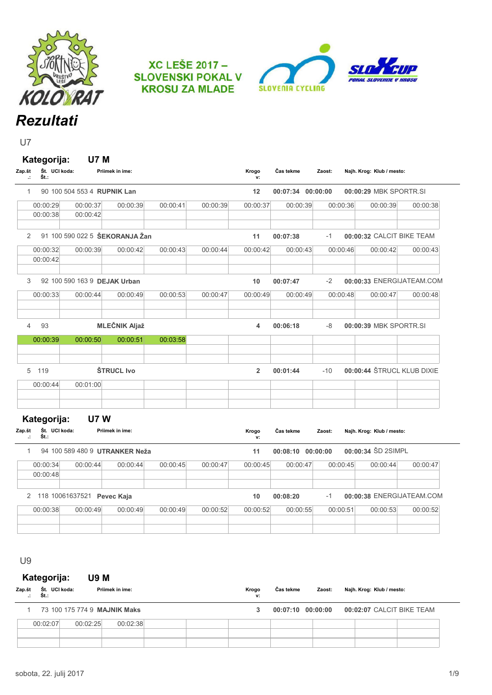





U7

| Zap.št | $\cdot$      | Kategorija:<br>Št. UCI koda:<br>Št.: |                              | <b>U7 M</b><br>Priimek in ime: |                                |          |          | Krogo<br>v:    | Čas tekme         | Zaost:   | Najh. Krog: Klub / mesto:  |          |
|--------|--------------|--------------------------------------|------------------------------|--------------------------------|--------------------------------|----------|----------|----------------|-------------------|----------|----------------------------|----------|
|        | $\mathbf{1}$ |                                      | 90 100 504 553 4 RUPNIK Lan  |                                |                                |          |          | 12             | 00:07:34 00:00:00 |          | 00:00:29 MBK SPORTR.SI     |          |
|        |              | 00:00:29                             | 00:00:37                     |                                | 00:00:39                       | 00:00:41 | 00:00:39 | 00:00:37       | 00:00:39          | 00:00:36 | 00:00:39                   | 00:00:38 |
|        |              | 00:00:38                             | 00:00:42                     |                                |                                |          |          |                |                   |          |                            |          |
|        | 2            |                                      |                              |                                | 91 100 590 022 5 ŠEKORANJA Žan |          |          | 11             | 00:07:38          | $-1$     | 00:00:32 CALCIT BIKE TEAM  |          |
|        |              | 00:00:32                             | 00:00:39                     |                                | 00:00:42                       | 00:00:43 | 00:00:44 | 00:00:42       | 00:00:43          | 00:00:46 | 00:00:42                   | 00:00:43 |
|        |              | 00:00:42                             |                              |                                |                                |          |          |                |                   |          |                            |          |
|        | 3            |                                      | 92 100 590 163 9 DEJAK Urban |                                |                                |          |          | 10             | 00:07:47          | $-2$     | 00:00:33 ENERGIJATEAM.COM  |          |
|        |              | 00:00:33                             | 00:00:44                     |                                | 00:00:49                       | 00:00:53 | 00:00:47 | 00:00:49       | 00:00:49          | 00:00:48 | 00:00:47                   | 00:00:48 |
|        | 4            | 93                                   |                              |                                | <b>MLEČNIK Aljaž</b>           |          |          | 4              | 00:06:18          | -8       | 00:00:39 MBK SPORTR.SI     |          |
|        |              |                                      |                              |                                |                                |          |          |                |                   |          |                            |          |
|        |              | 00:00:39                             | 00:00:50                     |                                | 00:00:51                       | 00:03:58 |          |                |                   |          |                            |          |
|        |              | 5 119                                |                              | ŠTRUCL Ivo                     |                                |          |          | $\overline{2}$ | 00:01:44          | $-10$    | 00:00:44 ŠTRUCL KLUB DIXIE |          |
|        |              | 00:00:44                             | 00:01:00                     |                                |                                |          |          |                |                   |          |                            |          |
|        |              | Kategorija:                          |                              | <b>U7W</b>                     |                                |          |          |                |                   |          |                            |          |
| Zap.št | $\cdot$      | Št. UCI koda:<br>Št.:                |                              | Priimek in ime:                |                                |          |          | Krogo<br>v:    | Čas tekme         | Zaost:   | Najh. Krog: Klub / mesto:  |          |
|        | 1            |                                      |                              |                                | 94 100 589 480 9 UTRANKER Neža |          |          | 11             | 00:08:10 00:00:00 |          | 00:00:34 ŠD 2SIMPL         |          |
|        |              | 00:00:34                             | 00:00:44                     |                                | 00:00:44                       | 00:00:45 | 00:00:47 | 00:00:45       | 00:00:47          | 00:00:45 | 00:00:44                   | 00:00:47 |
|        |              | 00:00:48                             |                              |                                |                                |          |          |                |                   |          |                            |          |
|        |              |                                      | 2 118 10061637521 Pevec Kaja |                                |                                |          |          | 10             | 00:08:20          | $-1$     | 00:00:38 ENERGIJATEAM.COM  |          |
|        |              | 00:00:38                             | 00:00:49                     |                                | 00:00:49                       | 00:00:49 | 00:00:52 | 00:00:52       | 00:00:55          | 00:00:51 | 00:00:53                   | 00:00:52 |

U9

Kategorija: U9 M

| Zap.št<br>$\cdot$ . | Št. UCI koda:<br>Št.: |          | Priimek in ime:              |  | Krogo<br>ν: | Čas tekme | Zaost:            | Najh. Krog: Klub / mesto: |  |
|---------------------|-----------------------|----------|------------------------------|--|-------------|-----------|-------------------|---------------------------|--|
|                     |                       |          | 73 100 175 774 9 MAJNIK Maks |  |             |           | 00:07:10 00:00:00 | 00:02:07 CALCIT BIKE TEAM |  |
|                     | 00:02:07              | 00:02:25 | 00:02:38                     |  |             |           |                   |                           |  |
|                     |                       |          |                              |  |             |           |                   |                           |  |
|                     |                       |          |                              |  |             |           |                   |                           |  |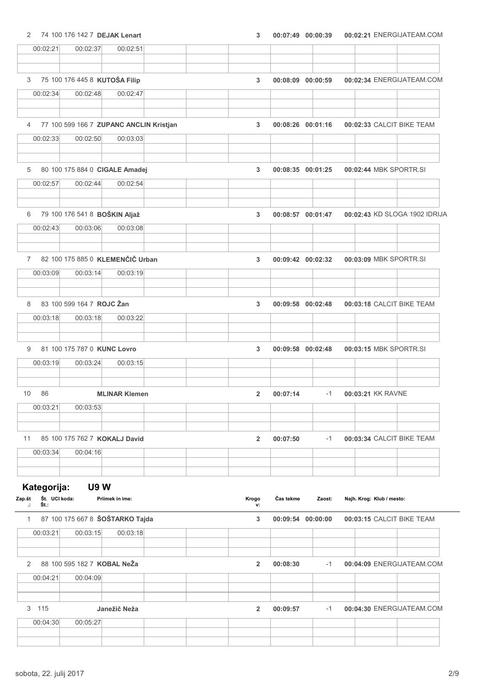#### 2 74 100 176 142 7 DEJAK Lenart

|  |  |  | $00:07:49$ $00:00:39$ |  | 00:02:21 ENERGIJATEAM.COM |
|--|--|--|-----------------------|--|---------------------------|
|--|--|--|-----------------------|--|---------------------------|

| 00:02:21                | 00:02:37                                | 00:02:51             |  |                |                   |                   |                           |                               |
|-------------------------|-----------------------------------------|----------------------|--|----------------|-------------------|-------------------|---------------------------|-------------------------------|
|                         |                                         |                      |  |                |                   |                   |                           |                               |
|                         | 75 100 176 445 8 KUTOŠA Filip           |                      |  |                |                   |                   |                           |                               |
| 3                       |                                         |                      |  | $\overline{3}$ | 00:08:09 00:00:59 |                   |                           | 00:02:34 ENERGIJATEAM.COM     |
| 00:02:34                | 00:02:48                                | 00:02:47             |  |                |                   |                   |                           |                               |
|                         |                                         |                      |  |                |                   |                   |                           |                               |
| 4                       | 77 100 599 166 7 ZUPANC ANCLIN Kristjan |                      |  | $\overline{3}$ |                   | 00:08:26 00:01:16 | 00:02:33 CALCIT BIKE TEAM |                               |
| 00:02:33                | 00:02:50                                | 00:03:03             |  |                |                   |                   |                           |                               |
|                         |                                         |                      |  |                |                   |                   |                           |                               |
| 5                       | 80 100 175 884 0 CIGALE Amadej          |                      |  | 3              |                   | 00:08:35 00:01:25 | 00:02:44 MBK SPORTR.SI    |                               |
| 00:02:57                | 00:02:44                                | 00:02:54             |  |                |                   |                   |                           |                               |
|                         |                                         |                      |  |                |                   |                   |                           |                               |
|                         |                                         |                      |  |                |                   |                   |                           |                               |
| 6                       | 79 100 176 541 8 BOŠKIN Aljaž           |                      |  | 3              |                   | 00:08:57 00:01:47 |                           | 00:02:43 KD SLOGA 1902 IDRIJA |
| 00:02:43                | 00:03:06                                | 00:03:08             |  |                |                   |                   |                           |                               |
|                         |                                         |                      |  |                |                   |                   |                           |                               |
|                         | 7 82 100 175 885 0 KLEMENČIČ Urban      |                      |  | 3              | 00:09:42 00:02:32 |                   | 00:03:09 MBK SPORTR.SI    |                               |
| 00:03:09                | 00:03:14                                | 00:03:19             |  |                |                   |                   |                           |                               |
|                         |                                         |                      |  |                |                   |                   |                           |                               |
|                         |                                         |                      |  |                |                   |                   |                           |                               |
| 8                       | 83 100 599 164 7 ROJC Žan               |                      |  | 3              | 00:09:58 00:02:48 |                   | 00:03:18 CALCIT BIKE TEAM |                               |
| 00:03:18                | 00:03:18                                | 00:03:22             |  |                |                   |                   |                           |                               |
|                         |                                         |                      |  |                |                   |                   |                           |                               |
| 9                       | 81 100 175 787 0 KUNC Lovro             |                      |  | 3              | 00:09:58 00:02:48 |                   | 00:03:15 MBK SPORTR.SI    |                               |
| 00:03:19                | 00:03:24                                | 00:03:15             |  |                |                   |                   |                           |                               |
|                         |                                         |                      |  |                |                   |                   |                           |                               |
| 86<br>10                |                                         | <b>MLINAR Klemen</b> |  | $\overline{2}$ | 00:07:14          | $-1$              | 00:03:21 KK RAVNE         |                               |
| 00:03:21                | 00:03:53                                |                      |  |                |                   |                   |                           |                               |
|                         |                                         |                      |  |                |                   |                   |                           |                               |
|                         |                                         |                      |  |                |                   |                   |                           |                               |
| 11                      | 85 100 175 762 7 KOKALJ David           |                      |  | $\overline{2}$ | 00:07:50          | $-1$              | 00:03:34 CALCIT BIKE TEAM |                               |
| 00:03:34                | 00:04:16                                |                      |  |                |                   |                   |                           |                               |
|                         |                                         |                      |  |                |                   |                   |                           |                               |
| Kategorija:             | <b>U9W</b>                              |                      |  |                |                   |                   |                           |                               |
| Št. UCI koda:<br>Zap.št |                                         | Priimek in ime:      |  | Krogo          | Čas tekme         | Zaost:            | Najh. Krog: Klub / mesto: |                               |
| Št.:                    |                                         |                      |  | v:             |                   |                   |                           |                               |
| 1                       | 87 100 175 667 8 ŠOŠTARKO Tajda         |                      |  | 3              | 00:09:54 00:00:00 |                   | 00:03:15 CALCIT BIKE TEAM |                               |
| 00:03:21                | 00:03:15                                | 00:03:18             |  |                |                   |                   |                           |                               |
|                         |                                         |                      |  |                |                   |                   |                           |                               |
| 2                       | 88 100 595 182 7 KOBAL NeŽa             |                      |  | $\overline{2}$ | 00:08:30          | $-1$              |                           | 00:04:09 ENERGIJATEAM.COM     |
| 00:04:21                | 00:04:09                                |                      |  |                |                   |                   |                           |                               |
|                         |                                         |                      |  |                |                   |                   |                           |                               |
|                         |                                         |                      |  |                |                   |                   |                           |                               |
| 3 115                   |                                         | Janežič Neža         |  | $\overline{2}$ | 00:09:57          | $-1$              |                           | 00:04:30 ENERGIJATEAM.COM     |
| 00:04:30                | 00:05:27                                |                      |  |                |                   |                   |                           |                               |
|                         |                                         |                      |  |                |                   |                   |                           |                               |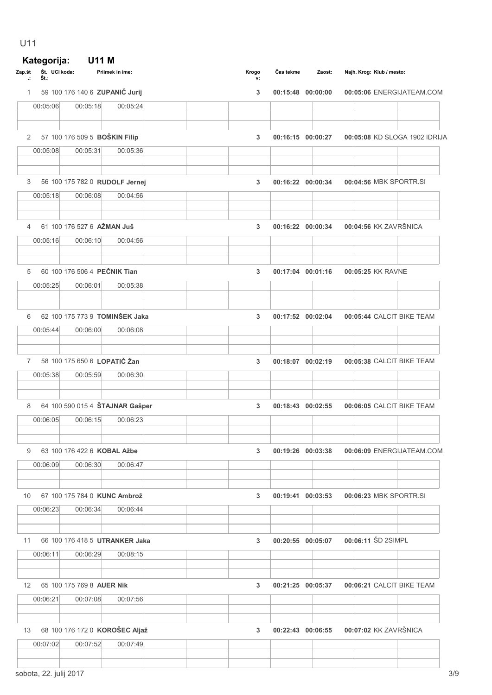### U11

# Kategorija: U11 M

| Zap.št<br>$\cdot$ | St. UCI koda:<br>Št.: |          | Priimek in ime:                             |  | Krogo<br>v: | Cas tekme         | Zaost:            | Najh. Krog: Klub / mesto:                   |
|-------------------|-----------------------|----------|---------------------------------------------|--|-------------|-------------------|-------------------|---------------------------------------------|
| $\mathbf{1}$      |                       |          | 59 100 176 140 6 ZUPANIČ Jurij              |  | 3           |                   | 00:15:48 00:00:00 | 00:05:06 ENERGIJATEAM.COM                   |
|                   | 00:05:06              | 00:05:18 | 00:05:24                                    |  |             |                   |                   |                                             |
|                   |                       |          |                                             |  |             |                   |                   |                                             |
| $\overline{2}$    |                       |          | 57 100 176 509 5 BOŠKIN Filip               |  | 3           |                   | 00:16:15 00:00:27 | 00:05:08 KD SLOGA 1902 IDRIJA               |
|                   | 00:05:08              | 00:05:31 | 00:05:36                                    |  |             |                   |                   |                                             |
|                   |                       |          |                                             |  |             |                   |                   |                                             |
| 3                 |                       |          | 56 100 175 782 0 RUDOLF Jernej              |  | 3           |                   | 00:16:22 00:00:34 | 00:04:56 MBK SPORTR.SI                      |
|                   | 00:05:18              | 00:06:08 | 00:04:56                                    |  |             |                   |                   |                                             |
| 4                 |                       |          | 61 100 176 527 6 AŽMAN Juš                  |  | 3           | 00:16:22 00:00:34 |                   | 00:04:56 KK ZAVRŠNICA                       |
|                   | 00:05:16              | 00:06:10 | 00:04:56                                    |  |             |                   |                   |                                             |
|                   |                       |          |                                             |  |             |                   |                   |                                             |
| 5                 |                       |          | 60 100 176 506 4 PEČNIK Tian                |  | 3           | 00:17:04 00:01:16 |                   | 00:05:25 KK RAVNE                           |
|                   | 00:05:25              | 00:06:01 | 00:05:38                                    |  |             |                   |                   |                                             |
|                   |                       |          |                                             |  |             |                   |                   |                                             |
| 6                 |                       |          | 62 100 175 773 9 TOMINŠEK Jaka              |  | 3           | 00:17:52 00:02:04 |                   | 00:05:44 CALCIT BIKE TEAM                   |
|                   | 00:05:44              | 00:06:00 | 00:06:08                                    |  |             |                   |                   |                                             |
|                   |                       |          |                                             |  |             |                   |                   |                                             |
| $\overline{7}$    |                       |          | 58 100 175 650 6 LOPATIČ Žan                |  | 3           |                   | 00:18:07 00:02:19 | 00:05:38 CALCIT BIKE TEAM                   |
|                   | 00:05:38              | 00:05:59 | 00:06:30                                    |  |             |                   |                   |                                             |
|                   |                       |          |                                             |  |             |                   |                   |                                             |
| 8                 | 00:06:05              |          | 64 100 590 015 4 ŠTAJNAR Gašper<br>00:06:23 |  | 3           |                   | 00:18:43 00:02:55 | 00:06:05 CALCIT BIKE TEAM                   |
|                   |                       | 00:06:15 |                                             |  |             |                   |                   |                                             |
|                   |                       |          | 9 63 100 176 422 6 KOBAL Ažbe               |  | 3           |                   |                   | 00:19:26 00:03:38 00:06:09 ENERGIJATEAM.COM |
|                   | 00:06:09              | 00:06:30 | 00:06:47                                    |  |             |                   |                   |                                             |
|                   |                       |          |                                             |  |             |                   |                   |                                             |
|                   |                       |          | 10 67 100 175 784 0 KUNC Ambrož             |  | 3           |                   | 00:19:41 00:03:53 | 00:06:23 MBK SPORTR.SI                      |
|                   | 00:06:23              | 00:06:34 | 00:06:44                                    |  |             |                   |                   |                                             |
| 11                |                       |          | 66 100 176 418 5 UTRANKER Jaka              |  | 3           |                   | 00:20:55 00:05:07 | 00:06:11 ŠD 2SIMPL                          |
|                   | 00:06:11              | 00:06:29 | 00:08:15                                    |  |             |                   |                   |                                             |
|                   |                       |          |                                             |  |             |                   |                   |                                             |
| 12 <sup>2</sup>   |                       |          | 65 100 175 769 8 AUER Nik                   |  | 3           |                   | 00:21:25 00:05:37 | 00:06:21 CALCIT BIKE TEAM                   |
|                   | 00:06:21              | 00:07:08 | 00:07:56                                    |  |             |                   |                   |                                             |
|                   |                       |          |                                             |  |             |                   |                   |                                             |
|                   |                       |          | 13 68 100 176 172 0 KOROŠEC Aljaž           |  | 3           |                   | 00:22:43 00:06:55 | 00:07:02 KK ZAVRŠNICA                       |
|                   | 00:07:02              | 00:07:52 | 00:07:49                                    |  |             |                   |                   |                                             |
|                   |                       |          |                                             |  |             |                   |                   |                                             |
|                   |                       |          |                                             |  |             |                   |                   |                                             |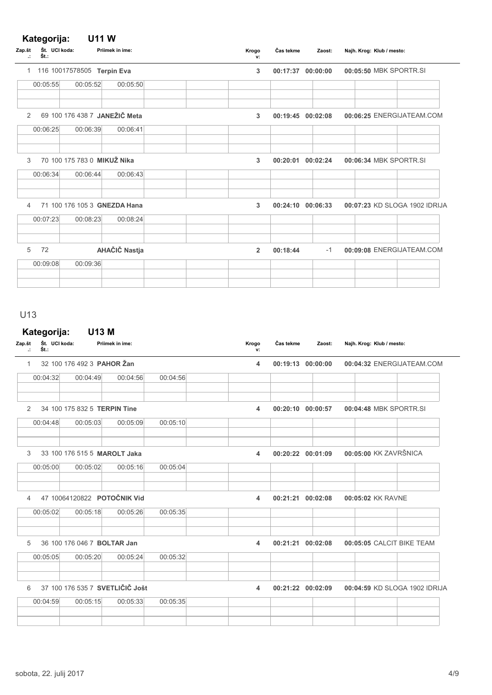#### Kategorija: U11 W

| Zap.št<br>Št.:<br>Ŀ. | Št. UCI koda:               | Priimek in ime:               | Krogo<br>v:    | Čas tekme | Zaost:            | Najh. Krog: Klub / mesto:     |
|----------------------|-----------------------------|-------------------------------|----------------|-----------|-------------------|-------------------------------|
| 1                    | 116 10017578505 Terpin Eva  |                               | 3              |           | 00:17:37 00:00:00 | 00:05:50 MBK SPORTR.SI        |
| 00:05:55             | 00:05:52                    | 00:05:50                      |                |           |                   |                               |
| 2                    |                             | 69 100 176 438 7 JANEŽIČ Meta | 3              |           | 00:19:45 00:02:08 | 00:06:25 ENERGIJATEAM.COM     |
| 00:06:25             | 00:06:39                    | 00:06:41                      |                |           |                   |                               |
| 3                    | 70 100 175 783 0 MIKUŽ Nika |                               | 3              |           | 00:20:01 00:02:24 | 00:06:34 MBK SPORTR.SI        |
| 00:06:34             | 00:06:44                    | 00:06:43                      |                |           |                   |                               |
| 4                    |                             | 71 100 176 105 3 GNEZDA Hana  | 3              |           | 00:24:10 00:06:33 | 00:07:23 KD SLOGA 1902 IDRIJA |
| 00:07:23             | 00:08:23                    | 00:08:24                      |                |           |                   |                               |
| 5<br>72              |                             | AHAČIČ Nastja                 | $\overline{2}$ | 00:18:44  | $-1$              | 00:09:08 ENERGIJATEAM.COM     |
| 00:09:08             | 00:09:36                    |                               |                |           |                   |                               |
|                      |                             |                               |                |           |                   |                               |

#### U13

### Kategorija: U13 M

| Zap.št<br>$\ddot{\phantom{a}}$ | Št. UCI koda:<br>Št.: |                              | Priimek in ime:                 |          | Krogo<br>v:      | Čas tekme | Zaost:                | Najh. Krog: Klub / mesto:     |
|--------------------------------|-----------------------|------------------------------|---------------------------------|----------|------------------|-----------|-----------------------|-------------------------------|
| $\mathbf{1}$                   |                       | 32 100 176 492 3 PAHOR Zan   |                                 |          | 4                |           | 00:19:13 00:00:00     | 00:04:32 ENERGIJATEAM.COM     |
|                                | 00:04:32              | 00:04:49                     | 00:04:56                        | 00:04:56 |                  |           |                       |                               |
| 2                              |                       | 34 100 175 832 5 TERPIN Tine |                                 |          | $\blacktriangle$ |           | 00:20:10 00:00:57     | 00:04:48 MBK SPORTR.SI        |
|                                | 00:04:48              | 00:05:03                     | 00:05:09                        | 00:05:10 |                  |           |                       |                               |
| 3                              |                       | 33 100 176 515 5 MAROLT Jaka |                                 |          | 4                |           | 00:20:22 00:01:09     | 00:05:00 KK ZAVRŠNICA         |
|                                | 00:05:00              | 00:05:02                     | 00:05:16                        | 00:05:04 |                  |           |                       |                               |
| $\overline{4}$                 |                       |                              | 47 10064120822 POTOČNIK Vid     |          | 4                |           | 00:21:21 00:02:08     | 00:05:02 KK RAVNE             |
|                                | 00:05:02              | 00:05:18                     | 00:05:26                        | 00:05:35 |                  |           |                       |                               |
| 5                              |                       | 36 100 176 046 7 BOLTAR Jan  |                                 |          | 4                |           | 00:21:21 00:02:08     | 00:05:05 CALCIT BIKE TEAM     |
|                                | 00:05:05              | 00:05:20                     | 00:05:24                        | 00:05:32 |                  |           |                       |                               |
| 6                              |                       |                              | 37 100 176 535 7 SVETLIČIČ Jošt |          | 4                |           | $00:21:22$ $00:02:09$ | 00:04:59 KD SLOGA 1902 IDRIJA |
|                                | 00:04:59              | 00:05:15                     | 00:05:33                        | 00:05:35 |                  |           |                       |                               |
|                                |                       |                              |                                 |          |                  |           |                       |                               |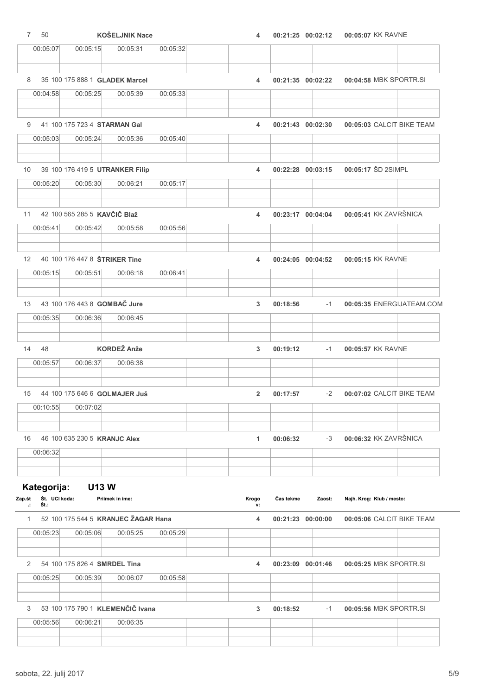| 50<br>7                         |                                 | <b>KOŠELJNIK Nace</b>               |          | 4              | 00:21:25 00:02:12 |        | 00:05:07 KK RAVNE         |                           |
|---------------------------------|---------------------------------|-------------------------------------|----------|----------------|-------------------|--------|---------------------------|---------------------------|
| 00:05:07                        | 00:05:15                        | 00:05:31                            | 00:05:32 |                |                   |        |                           |                           |
|                                 |                                 |                                     |          |                |                   |        |                           |                           |
| 8                               | 35 100 175 888 1 GLADEK Marcel  |                                     |          | 4              | 00:21:35 00:02:22 |        |                           | 00:04:58 MBK SPORTR.SI    |
| 00:04:58                        | 00:05:25                        | 00:05:39                            | 00:05:33 |                |                   |        |                           |                           |
|                                 |                                 |                                     |          |                |                   |        |                           |                           |
| 9                               | 41 100 175 723 4 STARMAN Gal    |                                     |          | 4              | 00:21:43 00:02:30 |        |                           | 00:05:03 CALCIT BIKE TEAM |
| 00:05:03                        | 00:05:24                        | 00:05:36                            | 00:05:40 |                |                   |        |                           |                           |
| 10                              | 39 100 176 419 5 UTRANKER Filip |                                     |          | 4              | 00:22:28 00:03:15 |        | 00:05:17 ŠD 2SIMPL        |                           |
| 00:05:20                        | 00:05:30                        | 00:06:21                            | 00:05:17 |                |                   |        |                           |                           |
|                                 |                                 |                                     |          |                |                   |        |                           |                           |
| 11                              | 42 100 565 285 5 KAVČIČ Blaž    |                                     |          | 4              | 00:23:17 00:04:04 |        | 00:05:41 KK ZAVRŠNICA     |                           |
| 00:05:41                        | 00:05:42                        | 00:05:58                            | 00:05:56 |                |                   |        |                           |                           |
|                                 |                                 |                                     |          |                |                   |        |                           |                           |
| $12 \overline{ }$               | 40 100 176 447 8 STRIKER Tine   |                                     |          | 4              | 00:24:05 00:04:52 |        | 00:05:15 KK RAVNE         |                           |
| 00:05:15                        | 00:05:51                        | 00:06:18                            | 00:06:41 |                |                   |        |                           |                           |
|                                 |                                 |                                     |          |                |                   |        |                           |                           |
| 13                              | 43 100 176 443 8 GOMBAČ Jure    |                                     |          | 3              | 00:18:56          | $-1$   |                           | 00:05:35 ENERGIJATEAM.COM |
| 00:05:35                        | 00:06:36                        | 00:06:45                            |          |                |                   |        |                           |                           |
|                                 |                                 |                                     |          |                |                   |        |                           |                           |
| 14<br>48<br>00:05:57            | 00:06:37                        | <b>KORDEŽ Anže</b><br>00:06:38      |          | 3              | 00:19:12          | $-1$   | 00:05:57 KK RAVNE         |                           |
|                                 |                                 |                                     |          |                |                   |        |                           |                           |
| 15                              | 44 100 175 646 6 GOLMAJER Juš   |                                     |          | $\overline{2}$ | 00:17:57          | $-2$   |                           | 00:07:02 CALCIT BIKE TEAM |
| 00:10:55                        | 00:07:02                        |                                     |          |                |                   |        |                           |                           |
|                                 |                                 |                                     |          |                |                   |        |                           |                           |
| 16                              | 46 100 635 230 5 KRANJC Alex    |                                     |          | 1              | 00:06:32          | $-3$   | 00:06:32 KK ZAVRŠNICA     |                           |
| 00:06:32                        |                                 |                                     |          |                |                   |        |                           |                           |
|                                 |                                 |                                     |          |                |                   |        |                           |                           |
| Kategorija:                     | <b>U13W</b>                     |                                     |          |                |                   |        |                           |                           |
| Št. UCI koda:<br>Zap.št<br>Št.: |                                 | Priimek in ime:                     |          | Krogo<br>v:    | Čas tekme         | Zaost: | Najh. Krog: Klub / mesto: |                           |
| $\mathbf{1}$                    |                                 | 52 100 175 544 5 KRANJEC ŽAGAR Hana |          | 4              | 00:21:23 00:00:00 |        |                           | 00:05:06 CALCIT BIKE TEAM |
| 00:05:23                        | 00:05:06                        | 00:05:25                            | 00:05:29 |                |                   |        |                           |                           |
|                                 |                                 |                                     |          |                |                   |        |                           |                           |
| 2                               | 54 100 175 826 4 SMRDEL Tina    |                                     |          | 4              | 00:23:09 00:01:46 |        |                           | 00:05:25 MBK SPORTR.SI    |
| 00:05:25                        | 00:05:39                        | 00:06:07                            | 00:05:58 |                |                   |        |                           |                           |
|                                 |                                 |                                     |          |                |                   |        |                           |                           |
| 3                               |                                 | 53 100 175 790 1 KLEMENČIČ Ivana    |          | 3              | 00:18:52          | $-1$   |                           | 00:05:56 MBK SPORTR.SI    |
| 00:05:56                        | 00:06:21                        | 00:06:35                            |          |                |                   |        |                           |                           |
|                                 |                                 |                                     |          |                |                   |        |                           |                           |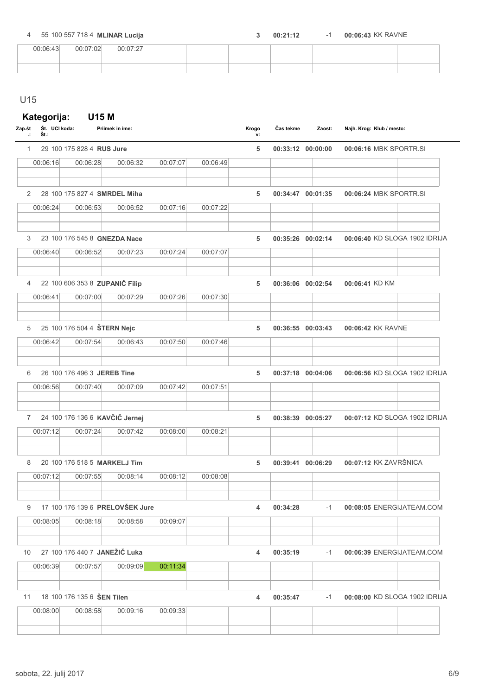4 55 100 557 718 4 **MLINAR Lucija** 2 00:21:12 1 00:06:43 KK RAVNE

 $\overline{\phantom{a}}$ 

| 00.06.43 | 00.07.02 | 00:07:27 |  |  |  |  |
|----------|----------|----------|--|--|--|--|
|          |          |          |  |  |  |  |
|          |          |          |  |  |  |  |

### U15

### Kategorija: U15 M

| Zap.št<br>÷    | Št. UCI koda:<br>Št.: |                            | Priimek in ime:                 |          |          | Krogo<br>v: | Čas tekme | Zaost:            | Najh. Krog: Klub / mesto:     |
|----------------|-----------------------|----------------------------|---------------------------------|----------|----------|-------------|-----------|-------------------|-------------------------------|
| 1              |                       | 29 100 175 828 4 RUS Jure  |                                 |          |          | 5           |           | 00:33:12 00:00:00 | 00:06:16 MBK SPORTR.SI        |
|                | 00:06:16              | 00:06:28                   | 00:06:32                        | 00:07:07 | 00:06:49 |             |           |                   |                               |
| 2              |                       |                            | 28 100 175 827 4 SMRDEL Miha    |          |          | 5           |           | 00:34:47 00:01:35 | 00:06:24 MBK SPORTR.SI        |
|                | 00:06:24              | 00:06:53                   | 00:06:52                        | 00:07:16 | 00:07:22 |             |           |                   |                               |
| 3              |                       |                            | 23 100 176 545 8 GNEZDA Nace    |          |          | 5           |           | 00:35:26 00:02:14 | 00:06:40 KD SLOGA 1902 IDRIJA |
|                | 00:06:40              | 00:06:52                   | 00:07:23                        | 00:07:24 | 00:07:07 |             |           |                   |                               |
| $\overline{4}$ |                       |                            | 22 100 606 353 8 ZUPANIČ Filip  |          |          | 5           |           | 00:36:06 00:02:54 | 00:06:41 KD KM                |
|                | 00:06:41              | 00:07:00                   | 00:07:29                        | 00:07:26 | 00:07:30 |             |           |                   |                               |
| 5              |                       |                            | 25 100 176 504 4 ŠTERN Nejc     |          |          | 5           |           | 00:36:55 00:03:43 | 00:06:42 KK RAVNE             |
|                | 00:06:42              | 00:07:54                   | 00:06:43                        | 00:07:50 | 00:07:46 |             |           |                   |                               |
| 6              |                       |                            | 26 100 176 496 3 JEREB Tine     |          |          | 5           |           | 00:37:18 00:04:06 | 00:06:56 KD SLOGA 1902 IDRIJA |
|                | 00:06:56              | 00:07:40                   | 00:07:09                        | 00:07:42 | 00:07:51 |             |           |                   |                               |
| 7              |                       |                            | 24 100 176 136 6 KAVČIČ Jernej  |          |          | 5           |           | 00:38:39 00:05:27 | 00:07:12 KD SLOGA 1902 IDRIJA |
|                | 00:07:12              | 00:07:24                   | 00:07:42                        | 00:08:00 | 00:08:21 |             |           |                   |                               |
| 8              |                       |                            | 20 100 176 518 5 MARKELJ Tim    |          |          | 5           |           | 00:39:41 00:06:29 | 00:07:12 KK ZAVRŠNICA         |
|                | 00:07:12              | 00:07:55                   | 00:08:14                        | 00:08:12 | 00:08:08 |             |           |                   |                               |
| 9              |                       |                            | 17 100 176 139 6 PRELOVŠEK Jure |          |          | 4           | 00:34:28  | $-1$              | 00:08:05 ENERGIJATEAM.COM     |
|                | 00:08:05              | 00:08:18                   | 00:08:58                        | 00:09:07 |          |             |           |                   |                               |
| 10             |                       |                            | 27 100 176 440 7 JANEŽIČ Luka   |          |          | 4           | 00:35:19  | -1                | 00:06:39 ENERGIJATEAM.COM     |
|                | 00:06:39              | 00:07:57                   | 00:09:09                        | 00:11:34 |          |             |           |                   |                               |
| 11             |                       | 18 100 176 135 6 SEN Tilen |                                 |          |          | 4           | 00:35:47  | -1                | 00:08:00 KD SLOGA 1902 IDRIJA |
|                | 00:08:00              | 00:08:58                   | 00:09:16                        | 00:09:33 |          |             |           |                   |                               |
|                |                       |                            |                                 |          |          |             |           |                   |                               |
|                |                       |                            |                                 |          |          |             |           |                   |                               |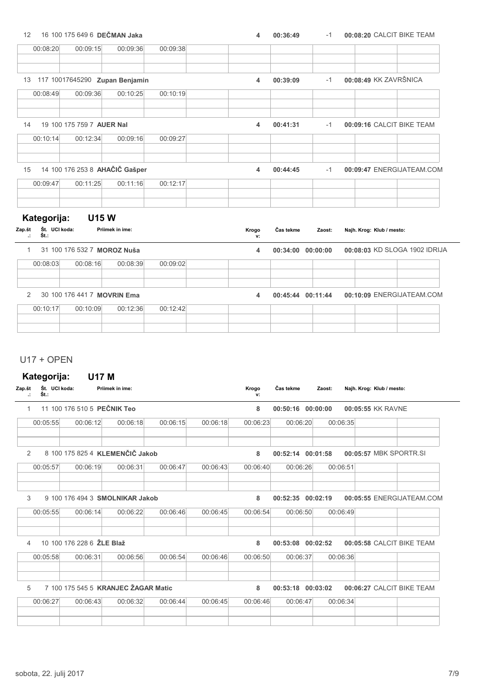| 12                                                              | 16 100 175 649 6 DEČMAN Jaka   |                 |          | 4           | 00:36:49          | $-1$   | 00:08:20 CALCIT BIKE TEAM     |
|-----------------------------------------------------------------|--------------------------------|-----------------|----------|-------------|-------------------|--------|-------------------------------|
| 00:08:20                                                        | 00:09:15                       | 00:09:36        | 00:09:38 |             |                   |        |                               |
| 13                                                              | 117 10017645290 Zupan Benjamin |                 |          | 4           | 00:39:09          | $-1$   | 00:08:49 KK ZAVRŠNICA         |
| 00:08:49                                                        | 00:09:36                       | 00:10:25        | 00:10:19 |             |                   |        |                               |
| 14                                                              | 19 100 175 759 7 AUER Nal      |                 |          | 4           | 00:41:31          | $-1$   | 00:09:16 CALCIT BIKE TEAM     |
| 00:10:14                                                        | 00:12:34                       | 00:09:16        | 00:09:27 |             |                   |        |                               |
| 15                                                              | 14 100 176 253 8 AHAČIČ Gašper |                 |          | 4           | 00:44:45          | $-1$   | 00:09:47 ENERGIJATEAM.COM     |
| 00:09:47                                                        | 00:11:25                       | 00:11:16        | 00:12:17 |             |                   |        |                               |
| Kategorija:<br>Št. UCI koda:<br>Zap.št<br>Št.:<br>$\mathcal{L}$ | <b>U15W</b>                    | Priimek in ime: |          | Krogo<br>v: | Čas tekme         | Zaost: | Najh. Krog: Klub / mesto:     |
| $\mathbf{1}$                                                    | 31 100 176 532 7 MOROZ Nuša    |                 |          | 4           | 00:34:00 00:00:00 |        | 00:08:03 KD SLOGA 1902 IDRIJA |
| 00:08:03                                                        | 00:08:16                       | 00:08:39        | 00:09:02 |             |                   |        |                               |
| 2                                                               | 30 100 176 441 7 MOVRIN Ema    |                 |          | 4           | 00:45:44 00:11:44 |        | 00:10:09 ENERGIJATEAM.COM     |
| 00:10:17                                                        | 00:10:09                       | 00:12:36        | 00:12:42 |             |                   |        |                               |
|                                                                 |                                |                 |          |             |                   |        |                               |

### U17 + OPEN

## Kategorija: U17 M

| Zap.št<br>Ŀ. | Št. UCI koda:<br>Št.: |                           | Priimek in ime:                     |          |          | Krogo<br>v: | Čas tekme | Zaost:   | Najh. Krog: Klub / mesto: |  |
|--------------|-----------------------|---------------------------|-------------------------------------|----------|----------|-------------|-----------|----------|---------------------------|--|
| $\mathbf{1}$ |                       |                           | 11 100 176 510 5 PEČNIK Teo         |          |          | 8           | 00:50:16  | 00:00:00 | 00:05:55 KK RAVNE         |  |
|              | 00:05:55              | 00:06:12                  | 00:06:18                            | 00:06:15 | 00:06:18 | 00:06:23    | 00:06:20  | 00:06:35 |                           |  |
| 2            |                       |                           | 8 100 175 825 4 KLEMENČIČ Jakob     |          |          | 8           | 00:52:14  | 00:01:58 | 00:05:57 MBK SPORTR.SI    |  |
|              | 00:05:57              | 00:06:19                  | 00:06:31                            | 00:06:47 | 00:06:43 | 00:06:40    | 00:06:26  | 00:06:51 |                           |  |
| 3            |                       |                           | 9 100 176 494 3 SMOLNIKAR Jakob     |          |          | 8           | 00:52:35  | 00:02:19 | 00:05:55 ENERGIJATEAM.COM |  |
|              | 00:05:55              | 00:06:14                  | 00:06:22                            | 00:06:46 | 00:06:45 | 00:06:54    | 00:06:50  | 00:06:49 |                           |  |
| 4            |                       | 10 100 176 228 6 ZLE Blaž |                                     |          |          | 8           | 00:53:08  | 00:02:52 | 00:05:58 CALCIT BIKE TEAM |  |
|              | 00:05:58              | 00:06:31                  | 00:06:56                            | 00:06:54 | 00:06:46 | 00:06:50    | 00:06:37  | 00:06:36 |                           |  |
| 5            |                       |                           | 7 100 175 545 5 KRANJEC ŽAGAR Matic |          |          | 8           | 00:53:18  | 00:03:02 | 00:06:27 CALCIT BIKE TEAM |  |
|              | 00:06:27              | 00:06:43                  | 00:06:32                            | 00:06:44 | 00:06:45 | 00:06:46    | 00:06:47  | 00:06:34 |                           |  |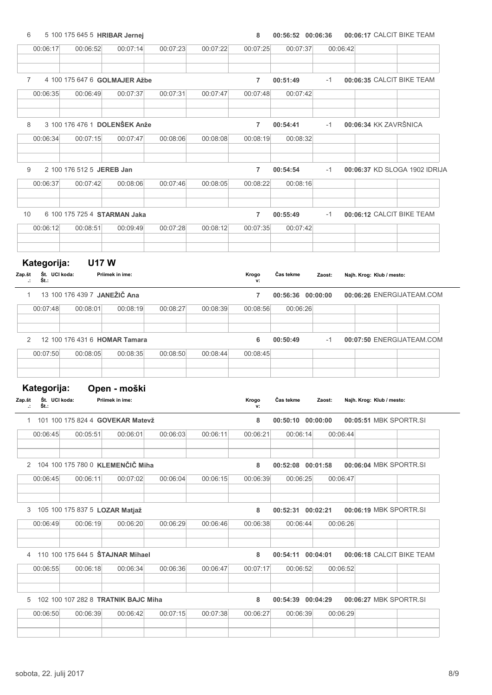## 6 5 100 175 645 5 HRIBAR Jernej 8 00:56:52 00:06:17 00:06:36 CALCIT BIKE TEAM 00:06:17 00:06:52 00:07:14 00:07:23 00:07:22 00:07:25 00:07:37 00:06:42 7 4 100 175 647 6 GOLMAJER Ažbe 7 00:51:49 -1 00:06:35 CALCIT BIKE TEAM 00:06:35 00:06:49 00:07:37 00:07:31 00:07:47 00:07:48 00:07:42 8 3 100 176 476 1 DOLENŠEK Anže **7 200:54:41** -1 00:06:34 KK ZAVRŠNICA 00:06:34 00:07:15 00:07:47 00:08:06 00:08:08 00:08:19 00:08:32 9 2 100 176 512 5 JEREB Jan 2 100:54:54 1 2 100:06:37 KD SLOGA 1902 IDRIJA 00:06:37 00:07:42 00:08:06 00:07:46 00:08:05 00:08:22 00:08:16 10 6 100 175 725 4 STARMAN Jaka **7 00:55:49** -1 00:06:12 CALCIT BIKE TEAM 00:06:12 00:08:51 00:09:49 00:07:28 00:08:12 00:07:35 00:07:42 Kategorija: U17 W Št. UCI koda: Št.: Zap.št UCI koda: Priimek in ime: Klub / mesto: Čas tekme Zaost: Najh. Krog: .: Krogo v: 1 13 100 176 439 7 JANEŽIČ Ana 7 00:56:36 00:06:26 00:00:00 ENERGIJATEAM.COM 00:07:48 00:08:01 00:08:19 00:08:27 00:08:39 00:08:56 00:06:26 2 12 100 176 431 6 HOMAR Tamara **6 00:50:49** -1 00:07:50 ENERGIJATEAM.COM 00:07:50 00:08:05 00:08:35 00:08:50 00:08:44 00:08:45 Kategorija: Open - moški Št. UCI koda: Št.: Zap.št UCI koda: Priimek in ime: Klub / mesto: Čas tekme Zaost: Najh. Krog: .: Krogo v: 1 101 100 175 824 4 GOVEKAR Matevž **8 00:50:10 00:00:00 00:05:51** MBK SPORTR.SI 00:06:45 00:05:51 00:06:01 00:06:03 00:06:11 00:06:21 00:06:14 00:06:44 2 104 100 175 780 0 KLEMENČIČ Miha 8 00:52:08 00:52:08 00:01:58 00:06:04 MBK SPORTR.SI 00:06:45 00:06:11 00:07:02 00:06:04 00:06:15 00:06:39 00:06:25 00:06:47 3 105 100 175 837 5 LOZAR Matjaž 8 00:52:31 00:06:19 00:02:21 MBK SPORTR.SI 00:06:49 00:06:19 00:06:20 00:06:29 00:06:46 00:06:38 00:06:44 00:06:26 4 110 100 175 644 5 ŠTAJNAR Mihael 8 00:54:11 00:06:18 00:04:01 CALCIT BIKE TEAM 00:06:55 00:06:18 00:06:34 00:06:36 00:06:47 00:07:17 00:06:52 00:06:52 5 102 100 107 282 8 TRATNIK BAJC Miha 8 00:54:39 00:54:39 00:04:29 00:06:27 MBK SPORTR.SI

| 00:06:50 | 00:06:39 | 00:06:42 | 00:07:15 | 00:07:38 | 00:06:27 | 00:06:39 | 00:06:29 |  |
|----------|----------|----------|----------|----------|----------|----------|----------|--|
|          |          |          |          |          |          |          |          |  |
|          |          |          |          |          |          |          |          |  |